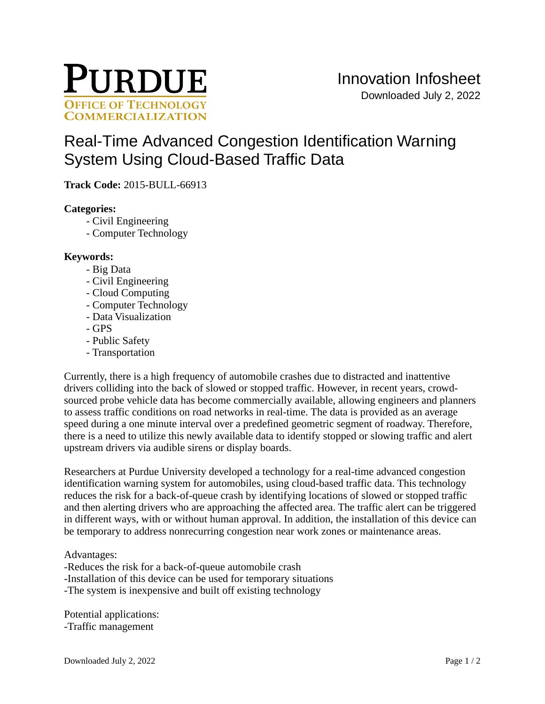

# [Real-Time Advanced Congestion Identification Warning](https://inventions.prf.org/innovation/5273)  [System Using Cloud-Based Traffic Data](https://inventions.prf.org/innovation/5273)

**Track Code:** 2015-BULL-66913

# **Categories:**

- Civil Engineering
- Computer Technology

## **Keywords:**

- Big Data
- Civil Engineering
- Cloud Computing
- Computer Technology
- Data Visualization
- GPS
- Public Safety
- Transportation

Currently, there is a high frequency of automobile crashes due to distracted and inattentive drivers colliding into the back of slowed or stopped traffic. However, in recent years, crowdsourced probe vehicle data has become commercially available, allowing engineers and planners to assess traffic conditions on road networks in real-time. The data is provided as an average speed during a one minute interval over a predefined geometric segment of roadway. Therefore, there is a need to utilize this newly available data to identify stopped or slowing traffic and alert upstream drivers via audible sirens or display boards.

Researchers at Purdue University developed a technology for a real-time advanced congestion identification warning system for automobiles, using cloud-based traffic data. This technology reduces the risk for a back-of-queue crash by identifying locations of slowed or stopped traffic and then alerting drivers who are approaching the affected area. The traffic alert can be triggered in different ways, with or without human approval. In addition, the installation of this device can be temporary to address nonrecurring congestion near work zones or maintenance areas.

## Advantages:

- -Reduces the risk for a back-of-queue automobile crash -Installation of this device can be used for temporary situations
- -The system is inexpensive and built off existing technology

Potential applications: -Traffic management